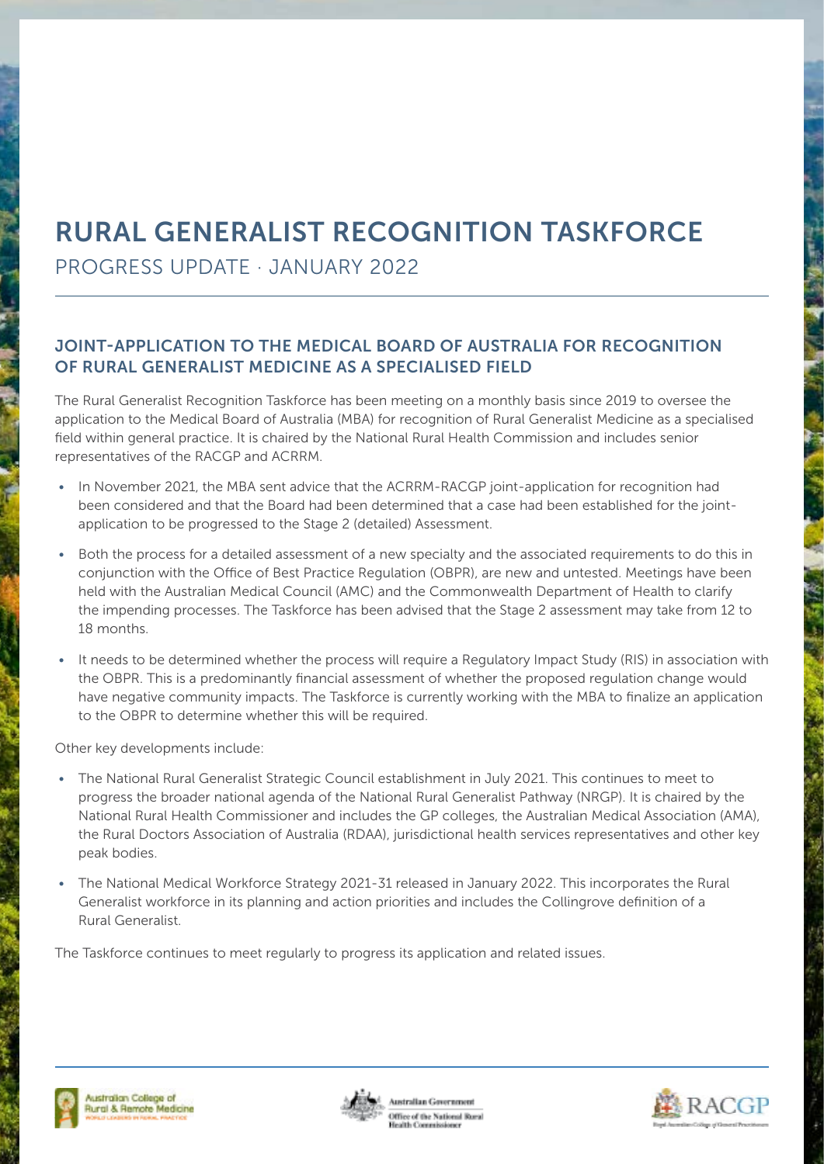## RURAL GENERALIST RECOGNITION TASKFORCE

PROGRESS UPDATE · JANUARY 2022

## JOINT-APPLICATION TO THE MEDICAL BOARD OF AUSTRALIA FOR RECOGNITION OF RURAL GENERALIST MEDICINE AS A SPECIALISED FIELD

The Rural Generalist Recognition Taskforce has been meeting on a monthly basis since 2019 to oversee the application to the Medical Board of Australia (MBA) for recognition of Rural Generalist Medicine as a specialised field within general practice. It is chaired by the National Rural Health Commission and includes senior representatives of the RACGP and ACRRM.

- In November 2021, the MBA sent advice that the ACRRM-RACGP joint-application for recognition had been considered and that the Board had been determined that a case had been established for the jointapplication to be progressed to the Stage 2 (detailed) Assessment.
- Both the process for a detailed assessment of a new specialty and the associated requirements to do this in conjunction with the Office of Best Practice Regulation (OBPR), are new and untested. Meetings have been held with the Australian Medical Council (AMC) and the Commonwealth Department of Health to clarify the impending processes. The Taskforce has been advised that the Stage 2 assessment may take from 12 to 18 months.
- It needs to be determined whether the process will require a Regulatory Impact Study (RIS) in association with the OBPR. This is a predominantly financial assessment of whether the proposed regulation change would have negative community impacts. The Taskforce is currently working with the MBA to finalize an application to the OBPR to determine whether this will be required.

Other key developments include:

- The National Rural Generalist Strategic Council establishment in July 2021. This continues to meet to progress the broader national agenda of the National Rural Generalist Pathway (NRGP). It is chaired by the National Rural Health Commissioner and includes the GP colleges, the Australian Medical Association (AMA), the Rural Doctors Association of Australia (RDAA), jurisdictional health services representatives and other key peak bodies.
- The National Medical Workforce Strategy 2021-31 released in January 2022. This incorporates the Rural Generalist workforce in its planning and action priorities and includes the Collingrove definition of a Rural Generalist.

The Taskforce continues to meet regularly to progress its application and related issues.